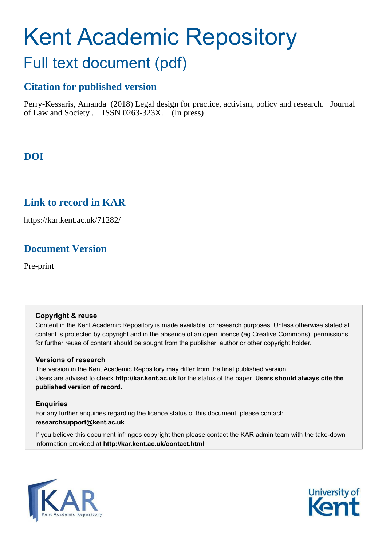# Kent Academic Repository

## Full text document (pdf)

## **Citation for published version**

Perry-Kessaris, Amanda (2018) Legal design for practice, activism, policy and research. Journal of Law and Society . ISSN 0263-323X. (In press)

## **DOI**

## **Link to record in KAR**

https://kar.kent.ac.uk/71282/

## **Document Version**

Pre-print

#### **Copyright & reuse**

Content in the Kent Academic Repository is made available for research purposes. Unless otherwise stated all content is protected by copyright and in the absence of an open licence (eg Creative Commons), permissions for further reuse of content should be sought from the publisher, author or other copyright holder.

#### **Versions of research**

The version in the Kent Academic Repository may differ from the final published version. Users are advised to check **http://kar.kent.ac.uk** for the status of the paper. **Users should always cite the published version of record.**

#### **Enquiries**

For any further enquiries regarding the licence status of this document, please contact: **researchsupport@kent.ac.uk**

If you believe this document infringes copyright then please contact the KAR admin team with the take-down information provided at **http://kar.kent.ac.uk/contact.html**



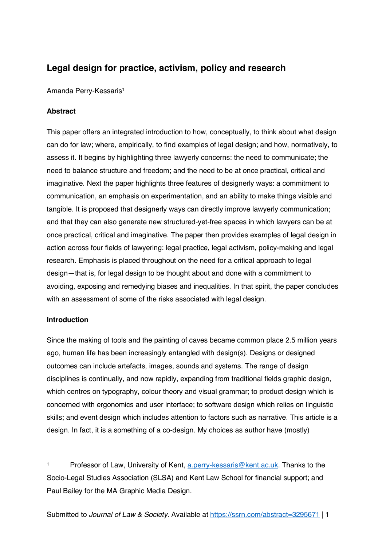### **Legal design for practice, activism, policy and research**

Amanda Perry-Kessaris<sup>1</sup>

#### **Abstract**

This paper offers an integrated introduction to how, conceptually, to think about what design can do for law; where, empirically, to find examples of legal design; and how, normatively, to assess it. It begins by highlighting three lawyerly concerns: the need to communicate; the need to balance structure and freedom; and the need to be at once practical, critical and imaginative. Next the paper highlights three features of designerly ways: a commitment to communication, an emphasis on experimentation, and an ability to make things visible and tangible. It is proposed that designerly ways can directly improve lawyerly communication; and that they can also generate new structured-yet-free spaces in which lawyers can be at once practical, critical and imaginative. The paper then provides examples of legal design in action across four fields of lawyering: legal practice, legal activism, policy-making and legal research. Emphasis is placed throughout on the need for a critical approach to legal design—that is, for legal design to be thought about and done with a commitment to avoiding, exposing and remedying biases and inequalities. In that spirit, the paper concludes with an assessment of some of the risks associated with legal design.

#### **Introduction**

 $\overline{a}$ 

Since the making of tools and the painting of caves became common place 2.5 million years ago, human life has been increasingly entangled with design(s). Designs or designed outcomes can include artefacts, images, sounds and systems. The range of design disciplines is continually, and now rapidly, expanding from traditional fields graphic design, which centres on typography, colour theory and visual grammar; to product design which is concerned with ergonomics and user interface; to software design which relies on linguistic skills; and event design which includes attention to factors such as narrative. This article is a design. In fact, it is a something of a co-design. My choices as author have (mostly)

<sup>1</sup> Professor of Law, University of Kent, a.perry-kessaris@kent.ac.uk. Thanks to the Socio-Legal Studies Association (SLSA) and Kent Law School for financial support; and Paul Bailey for the MA Graphic Media Design.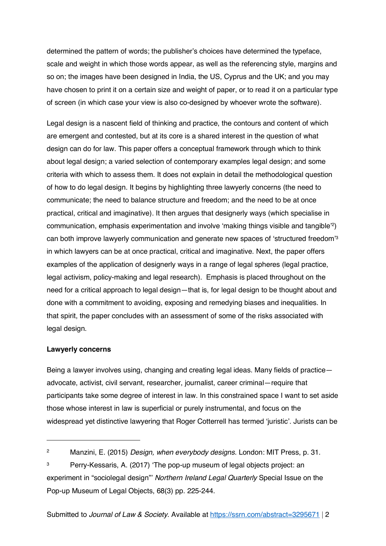determined the pattern of words; the publisher's choices have determined the typeface, scale and weight in which those words appear, as well as the referencing style, margins and so on; the images have been designed in India, the US, Cyprus and the UK; and you may have chosen to print it on a certain size and weight of paper, or to read it on a particular type of screen (in which case your view is also co-designed by whoever wrote the software).

Legal design is a nascent field of thinking and practice, the contours and content of which are emergent and contested, but at its core is a shared interest in the question of what design can do for law. This paper offers a conceptual framework through which to think about legal design; a varied selection of contemporary examples legal design; and some criteria with which to assess them. It does not explain in detail the methodological question of how to do legal design. It begins by highlighting three lawyerly concerns (the need to communicate; the need to balance structure and freedom; and the need to be at once practical, critical and imaginative). It then argues that designerly ways (which specialise in communication, emphasis experimentation and involve 'making things visible and tangible'<sup>2</sup> ) can both improve lawyerly communication and generate new spaces of 'structured freedom'<sup>3</sup> in which lawyers can be at once practical, critical and imaginative. Next, the paper offers examples of the application of designerly ways in a range of legal spheres (legal practice, legal activism, policy-making and legal research). Emphasis is placed throughout on the need for a critical approach to legal design—that is, for legal design to be thought about and done with a commitment to avoiding, exposing and remedying biases and inequalities. In that spirit, the paper concludes with an assessment of some of the risks associated with legal design.

#### **Lawyerly concerns**

 $\overline{a}$ 

Being a lawyer involves using, changing and creating legal ideas. Many fields of practice advocate, activist, civil servant, researcher, journalist, career criminal—require that participants take some degree of interest in law. In this constrained space I want to set aside those whose interest in law is superficial or purely instrumental, and focus on the widespread yet distinctive lawyering that Roger Cotterrell has termed 'juristic'. Jurists can be

<sup>&</sup>lt;sup>2</sup> Manzini, E. (2015) Design, when everybody designs. London: MIT Press, p. 31.

<sup>&</sup>lt;sup>3</sup> Perry-Kessaris, A. (2017) 'The pop-up museum of legal objects project: an experiment in "sociolegal design"' Northern Ireland Legal Quarterly Special Issue on the Pop-up Museum of Legal Objects, 68(3) pp. 225-244.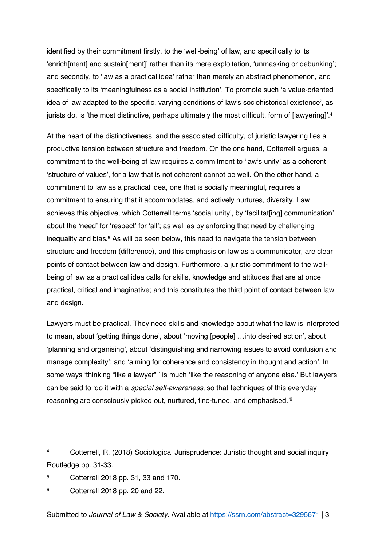identified by their commitment firstly, to the 'well-being' of law, and specifically to its 'enrich[ment] and sustain[ment]' rather than its mere exploitation, 'unmasking or debunking'; and secondly, to 'law as a practical idea' rather than merely an abstract phenomenon, and specifically to its 'meaningfulness as a social institution'. To promote such 'a value-oriented idea of law adapted to the specific, varying conditions of law's sociohistorical existence', as jurists do, is 'the most distinctive, perhaps ultimately the most difficult, form of [lawyering]'.<sup>4</sup>

At the heart of the distinctiveness, and the associated difficulty, of juristic lawyering lies a productive tension between structure and freedom. On the one hand, Cotterrell argues, a commitment to the well-being of law requires a commitment to 'law's unity' as a coherent 'structure of values', for a law that is not coherent cannot be well. On the other hand, a commitment to law as a practical idea, one that is socially meaningful, requires a commitment to ensuring that it accommodates, and actively nurtures, diversity. Law achieves this objective, which Cotterrell terms 'social unity', by 'facilitatiing communication' about the 'need' for 'respect' for 'all'; as well as by enforcing that need by challenging inequality and bias. <sup>5</sup> As will be seen below, this need to navigate the tension between structure and freedom (difference), and this emphasis on law as a communicator, are clear points of contact between law and design. Furthermore, a juristic commitment to the wellbeing of law as a practical idea calls for skills, knowledge and attitudes that are at once practical, critical and imaginative; and this constitutes the third point of contact between law and design.

Lawyers must be practical. They need skills and knowledge about what the law is interpreted to mean, about 'getting things done', about 'moving [people] …into desired action', about 'planning and organising', about 'distinguishing and narrowing issues to avoid confusion and manage complexity'; and 'aiming for coherence and consistency in thought and action'. In some ways 'thinking "like a lawyer" ' is much 'like the reasoning of anyone else.' But lawyers can be said to 'do it with a special self-awareness, so that techniques of this everyday reasoning are consciously picked out, nurtured, fine-tuned, and emphasised.'<sup>6</sup>

<sup>4</sup> Cotterrell, R. (2018) Sociological Jurisprudence: Juristic thought and social inquiry Routledge pp. 31-33.

<sup>5</sup> Cotterrell 2018 pp. 31, 33 and 170.

<sup>6</sup> Cotterrell 2018 pp. 20 and 22.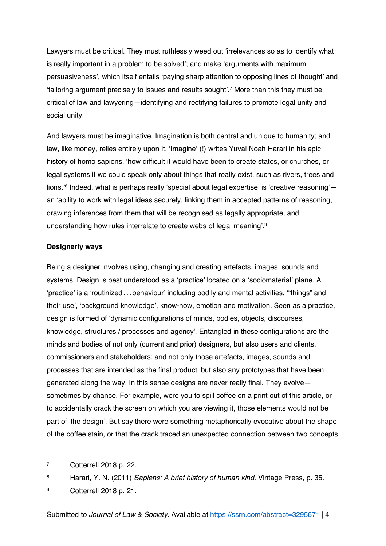Lawyers must be critical. They must ruthlessly weed out 'irrelevances so as to identify what is really important in a problem to be solved'; and make 'arguments with maximum persuasiveness', which itself entails 'paying sharp attention to opposing lines of thought' and 'tailoring argument precisely to issues and results sought'.<sup>7</sup> More than this they must be critical of law and lawyering—identifying and rectifying failures to promote legal unity and social unity.

And lawyers must be imaginative. Imagination is both central and unique to humanity; and law, like money, relies entirely upon it. 'Imagine' (!) writes Yuval Noah Harari in his epic history of homo sapiens, 'how difficult it would have been to create states, or churches, or legal systems if we could speak only about things that really exist, such as rivers, trees and lions.'<sup>8</sup> Indeed, what is perhaps really 'special about legal expertise' is 'creative reasoning' an 'ability to work with legal ideas securely, linking them in accepted patterns of reasoning, drawing inferences from them that will be recognised as legally appropriate, and understanding how rules interrelate to create webs of legal meaning'.<sup>9</sup>

#### **Designerly ways**

Being a designer involves using, changing and creating artefacts, images, sounds and systems. Design is best understood as a 'practice' located on a 'sociomaterial' plane. A 'practice' is a 'routinized ...behaviour' including bodily and mental activities, '"things" and their use', 'background knowledge', know-how, emotion and motivation. Seen as a practice, design is formed of 'dynamic configurations of minds, bodies, objects, discourses, knowledge, structures / processes and agency'. Entangled in these configurations are the minds and bodies of not only (current and prior) designers, but also users and clients, commissioners and stakeholders; and not only those artefacts, images, sounds and processes that are intended as the final product, but also any prototypes that have been generated along the way. In this sense designs are never really final. They evolve sometimes by chance. For example, were you to spill coffee on a print out of this article, or to accidentally crack the screen on which you are viewing it, those elements would not be part of 'the design'. But say there were something metaphorically evocative about the shape of the coffee stain, or that the crack traced an unexpected connection between two concepts

<sup>7</sup> Cotterrell 2018 p. 22.

<sup>8</sup> Harari, Y. N. (2011) Sapiens: A brief history of human kind. Vintage Press, p. 35.

<sup>9</sup> Cotterrell 2018 p. 21.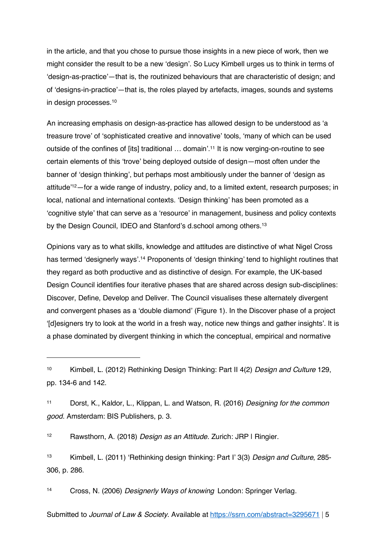in the article, and that you chose to pursue those insights in a new piece of work, then we might consider the result to be a new 'design'. So Lucy Kimbell urges us to think in terms of 'design-as-practice'—that is, the routinized behaviours that are characteristic of design; and of 'designs-in-practice'—that is, the roles played by artefacts, images, sounds and systems in design processes.<sup>10</sup>

An increasing emphasis on design-as-practice has allowed design to be understood as 'a treasure trove' of 'sophisticated creative and innovative' tools, 'many of which can be used outside of the confines of [its] traditional ... domain'.<sup>11</sup> It is now verging-on-routine to see certain elements of this 'trove' being deployed outside of design—most often under the banner of 'design thinking', but perhaps most ambitiously under the banner of 'design as attitude'12—for a wide range of industry, policy and, to a limited extent, research purposes; in local, national and international contexts. 'Design thinking' has been promoted as a 'cognitive style' that can serve as a 'resource' in management, business and policy contexts by the Design Council, IDEO and Stanford's d.school among others.<sup>13</sup>

Opinions vary as to what skills, knowledge and attitudes are distinctive of what Nigel Cross has termed 'designerly ways'. <sup>14</sup> Proponents of 'design thinking' tend to highlight routines that they regard as both productive and as distinctive of design. For example, the UK-based Design Council identifies four iterative phases that are shared across design sub-disciplines: Discover, Define, Develop and Deliver. The Council visualises these alternately divergent and convergent phases as a 'double diamond' (Figure 1). In the Discover phase of a project '[d]esigners try to look at the world in a fresh way, notice new things and gather insights'. It is a phase dominated by divergent thinking in which the conceptual, empirical and normative

<sup>12</sup> Rawsthorn, A. (2018) Design as an Attitude. Zurich: JRP | Ringier.

 $\overline{a}$ 

<sup>13</sup> Kimbell, L. (2011) 'Rethinking design thinking: Part I' 3(3) Design and Culture, 285- 306, p. 286.

14 Cross, N. (2006) Designerly Ways of knowing London: Springer Verlag.

<sup>&</sup>lt;sup>10</sup> Kimbell, L. (2012) Rethinking Design Thinking: Part II 4(2) Design and Culture 129, pp. 134-6 and 142.

<sup>11</sup> Dorst, K., Kaldor, L., Klippan, L. and Watson, R. (2016) Designing for the common good. Amsterdam: BIS Publishers, p. 3.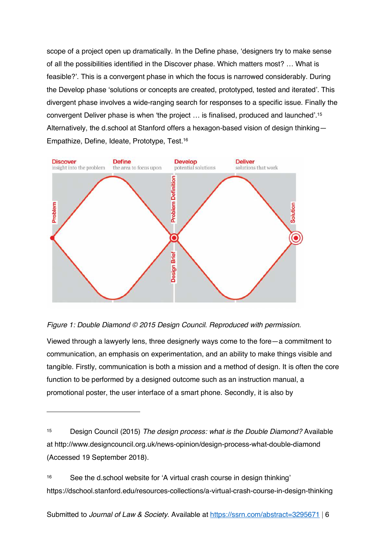scope of a project open up dramatically. In the Define phase, 'designers try to make sense of all the possibilities identified in the Discover phase. Which matters most? … What is feasible?'. This is a convergent phase in which the focus is narrowed considerably. During the Develop phase 'solutions or concepts are created, prototyped, tested and iterated'. This divergent phase involves a wide-ranging search for responses to a specific issue. Finally the convergent Deliver phase is when 'the project … is finalised, produced and launched'.<sup>15</sup> Alternatively, the d.school at Stanford offers a hexagon-based vision of design thinking— Empathize, Define, Ideate, Prototype, Test.<sup>16</sup>



#### Figure 1: Double Diamond © 2015 Design Council. Reproduced with permission.

 $\overline{a}$ 

Viewed through a lawyerly lens, three designerly ways come to the fore—a commitment to communication, an emphasis on experimentation, and an ability to make things visible and tangible. Firstly, communication is both a mission and a method of design. It is often the core function to be performed by a designed outcome such as an instruction manual, a promotional poster, the user interface of a smart phone. Secondly, it is also by

<sup>16</sup> See the d.school website for 'A virtual crash course in design thinking' https://dschool.stanford.edu/resources-collections/a-virtual-crash-course-in-design-thinking

<sup>&</sup>lt;sup>15</sup> Design Council (2015) The design process: what is the Double Diamond? Available at http://www.designcouncil.org.uk/news-opinion/design-process-what-double-diamond (Accessed 19 September 2018).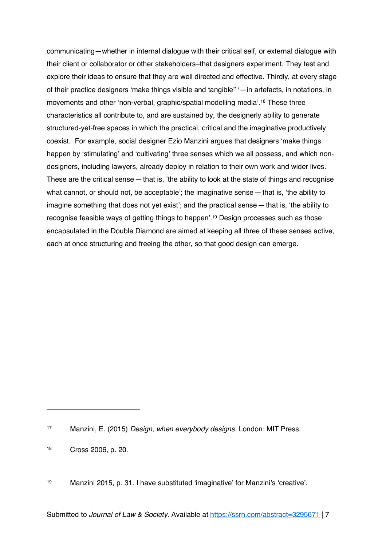communicating—whether in internal dialogue with their critical self, or external dialogue with their client or collaborator or other stakeholders–that designers experiment. They test and explore their ideas to ensure that they are well directed and effective. Thirdly, at every stage of their practice designers 'make things visible and tangible'17—in artefacts, in notations, in movements and other 'non-verbal, graphic/spatial modelling media'. <sup>18</sup> These three characteristics all contribute to, and are sustained by, the designerly ability to generate structured-yet-free spaces in which the practical, critical and the imaginative productively coexist. For example, social designer Ezio Manzini argues that designers 'make things happen by 'stimulating' and 'cultivating' three senses which we all possess, and which nondesigners, including lawyers, already deploy in relation to their own work and wider lives. These are the critical sense  $-$  that is, 'the ability to look at the state of things and recognise what cannot, or should not, be acceptable'; the imaginative sense—that is, 'the ability to imagine something that does not yet exist'; and the practical sense—that is, 'the ability to recognise feasible ways of getting things to happen'.<sup>19</sup> Design processes such as those encapsulated in the Double Diamond are aimed at keeping all three of these senses active, each at once structuring and freeing the other, so that good design can emerge.

<sup>17</sup> Manzini, E. (2015) Design, when everybody designs. London: MIT Press.

<sup>18</sup> Cross 2006, p. 20.

<sup>19</sup> Manzini 2015, p. 31. I have substituted 'imaginative' for Manzini's 'creative'.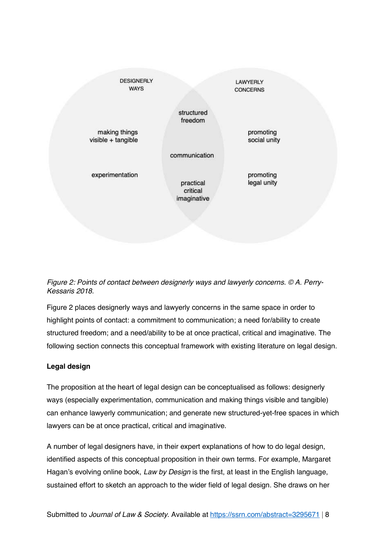



Figure 2 places designerly ways and lawyerly concerns in the same space in order to highlight points of contact: a commitment to communication; a need for/ability to create structured freedom; and a need/ability to be at once practical, critical and imaginative. The following section connects this conceptual framework with existing literature on legal design.

#### **Legal design**

The proposition at the heart of legal design can be conceptualised as follows: designerly ways (especially experimentation, communication and making things visible and tangible) can enhance lawyerly communication; and generate new structured-yet-free spaces in which lawyers can be at once practical, critical and imaginative.

A number of legal designers have, in their expert explanations of how to do legal design, identified aspects of this conceptual proposition in their own terms. For example, Margaret Hagan's evolving online book, Law by Design is the first, at least in the English language, sustained effort to sketch an approach to the wider field of legal design. She draws on her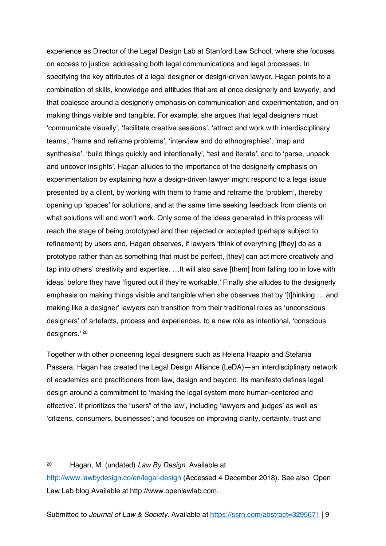experience as Director of the Legal Design Lab at Stanford Law School, where she focuses on access to justice, addressing both legal communications and legal processes. In specifying the key attributes of a legal designer or design-driven lawyer, Hagan points to a combination of skills, knowledge and attitudes that are at once designerly and lawyerly, and that coalesce around a designerly emphasis on communication and experimentation, and on making things visible and tangible. For example, she argues that legal designers must 'communicate visually', 'facilitate creative sessions', 'attract and work with interdisciplinary teams', 'frame and reframe problems', 'interview and do ethnographies', 'map and synthesise', 'build things quickly and intentionally', 'test and iterate', and to 'parse, unpack and uncover insights'. Hagan alludes to the importance of the designerly emphasis on experimentation by explaining how a design-driven lawyer might respond to a legal issue presented by a client, by working with them to frame and reframe the 'problem', thereby opening up 'spaces' for solutions, and at the same time seeking feedback from clients on what solutions will and won't work. Only some of the ideas generated in this process will reach the stage of being prototyped and then rejected or accepted (perhaps subject to refinement) by users and, Hagan observes, if lawyers 'think of everything [they] do as a prototype rather than as something that must be perfect, [they] can act more creatively and tap into others' creativity and expertise. …It will also save [them] from falling too in love with ideas' before they have 'figured out if they're workable.' Finally she alludes to the designerly emphasis on making things visible and tangible when she observes that by '[t]hinking … and making like a designer' lawyers can transition from their traditional roles as 'unconscious designers' of artefacts, process and experiences, to a new role as intentional, 'conscious designers.' <sup>20</sup>

Together with other pioneering legal designers such as Helena Haapio and Stefania Passera, Hagan has created the Legal Design Alliance (LeDA)—an interdisciplinary network of academics and practitioners from law, design and beyond. Its manifesto defines legal design around a commitment to 'making the legal system more human-centered and effective'. It prioritizes the "users" of the law', including 'lawyers and judges' as well as 'citizens, consumers, businesses'; and focuses on improving clarity, certainty, trust and

<sup>&</sup>lt;sup>20</sup> Hagan, M. (undated) Law By Design. Available at

http://www.lawbydesign.co/en/legal-design (Accessed 4 December 2018). See also Open Law Lab blog Available at http://www.openlawlab.com.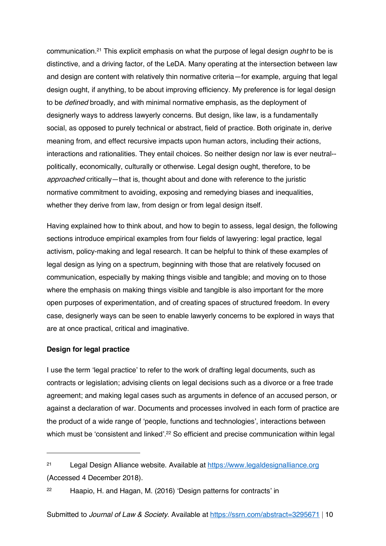communication.<sup>21</sup> This explicit emphasis on what the purpose of legal design ought to be is distinctive, and a driving factor, of the LeDA. Many operating at the intersection between law and design are content with relatively thin normative criteria—for example, arguing that legal design ought, if anything, to be about improving efficiency. My preference is for legal design to be defined broadly, and with minimal normative emphasis, as the deployment of designerly ways to address lawyerly concerns. But design, like law, is a fundamentally social, as opposed to purely technical or abstract, field of practice. Both originate in, derive meaning from, and effect recursive impacts upon human actors, including their actions, interactions and rationalities. They entail choices. So neither design nor law is ever neutral- politically, economically, culturally or otherwise. Legal design ought, therefore, to be approached critically—that is, thought about and done with reference to the juristic normative commitment to avoiding, exposing and remedying biases and inequalities, whether they derive from law, from design or from legal design itself.

Having explained how to think about, and how to begin to assess, legal design, the following sections introduce empirical examples from four fields of lawyering: legal practice, legal activism, policy-making and legal research. It can be helpful to think of these examples of legal design as lying on a spectrum, beginning with those that are relatively focused on communication, especially by making things visible and tangible; and moving on to those where the emphasis on making things visible and tangible is also important for the more open purposes of experimentation, and of creating spaces of structured freedom. In every case, designerly ways can be seen to enable lawyerly concerns to be explored in ways that are at once practical, critical and imaginative.

#### **Design for legal practice**

 $\overline{a}$ 

I use the term 'legal practice' to refer to the work of drafting legal documents, such as contracts or legislation; advising clients on legal decisions such as a divorce or a free trade agreement; and making legal cases such as arguments in defence of an accused person, or against a declaration of war. Documents and processes involved in each form of practice are the product of a wide range of 'people, functions and technologies', interactions between which must be 'consistent and linked'.<sup>22</sup> So efficient and precise communication within legal

<sup>21</sup> Legal Design Alliance website. Available at https://www.legaldesignalliance.org (Accessed 4 December 2018).

<sup>22</sup> Haapio, H. and Hagan, M. (2016) 'Design patterns for contracts' in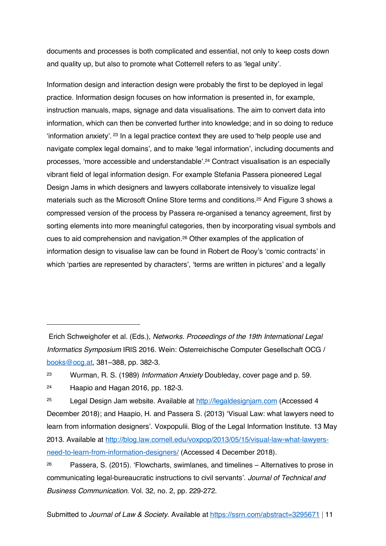documents and processes is both complicated and essential, not only to keep costs down and quality up, but also to promote what Cotterrell refers to as 'legal unity'.

Information design and interaction design were probably the first to be deployed in legal practice. Information design focuses on how information is presented in, for example, instruction manuals, maps, signage and data visualisations. The aim to convert data into information, which can then be converted further into knowledge; and in so doing to reduce 'information anxiety'. <sup>23</sup> In a legal practice context they are used to 'help people use and navigate complex legal domains', and to make 'legal information', including documents and processes, 'more accessible and understandable'. <sup>24</sup> Contract visualisation is an especially vibrant field of legal information design. For example Stefania Passera pioneered Legal Design Jams in which designers and lawyers collaborate intensively to visualize legal materials such as the Microsoft Online Store terms and conditions.<sup>25</sup> And Figure 3 shows a compressed version of the process by Passera re-organised a tenancy agreement, first by sorting elements into more meaningful categories, then by incorporating visual symbols and cues to aid comprehension and navigation.<sup>26</sup> Other examples of the application of information design to visualise law can be found in Robert de Rooy's 'comic contracts' in which 'parties are represented by characters', 'terms are written in pictures' and a legally

<sup>23</sup> Wurman, R. S. (1989) *Information Anxiety* Doubleday, cover page and p. 59.

<sup>24</sup> Haapio and Hagan 2016, pp. 182-3.

 $\overline{a}$ 

<sup>25</sup> Legal Design Jam website. Available at http://legaldesignjam.com (Accessed 4 December 2018); and Haapio, H. and Passera S. (2013) 'Visual Law: what lawyers need to learn from information designers'. Voxpopulii. Blog of the Legal Information Institute. 13 May 2013. Available at http://blog.law.cornell.edu/voxpop/2013/05/15/visual-law-what-lawyersneed-to-learn-from-information-designers/ (Accessed 4 December 2018).

Erich Schweighofer et al. (Eds.), Networks. Proceedings of the 19th International Legal Informatics Symposium IRIS 2016. Wein: Österreichische Computer Gesellschaft OCG / books@ocg.at, 381–388, pp. 382-3.

<sup>&</sup>lt;sup>26</sup> Passera, S. (2015). 'Flowcharts, swimlanes, and timelines  $-$  Alternatives to prose in communicating legal-bureaucratic instructions to civil servants'. Journal of Technical and Business Communication. Vol. 32, no. 2, pp. 229-272.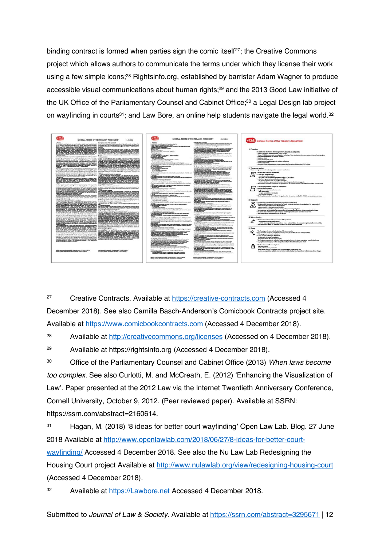binding contract is formed when parties sign the comic itself<sup>27</sup>; the Creative Commons project which allows authors to communicate the terms under which they license their work using a few simple icons;<sup>28</sup> Rightsinfo.org, established by barrister Adam Wagner to produce accessible visual communications about human rights; <sup>29</sup> and the 2013 Good Law initiative of the UK Office of the Parliamentary Counsel and Cabinet Office; <sup>30</sup> a Legal Design lab project on wayfinding in courts<sup>31</sup>; and Law Bore, an online help students navigate the legal world.<sup>32</sup>



<sup>27</sup> Creative Contracts. Available at https://creative-contracts.com (Accessed 4 December 2018). See also Camilla Basch-Anderson's Comicbook Contracts project site. Available at https://www.comicbookcontracts.com (Accessed 4 December 2018).

28 Available at http://creativecommons.org/licenses (Accessed on 4 December 2018).

 $\overline{a}$ 

<sup>30</sup> Office of the Parliamentary Counsel and Cabinet Office (2013) When laws become too complex. See also Curlotti, M. and McCreath, E. (2012) 'Enhancing the Visualization of Law'. Paper presented at the 2012 Law via the Internet Twentieth Anniversary Conference, Cornell University, October 9, 2012. (Peer reviewed paper). Available at SSRN: https://ssrn.com/abstract=2160614.

<sup>31</sup> Hagan, M. (2018) '8 ideas for better court wayfinding**'** Open Law Lab. Blog. 27 June 2018 Available at http://www.openlawlab.com/2018/06/27/8-ideas-for-better-courtwayfinding/ Accessed 4 December 2018. See also the Nu Law Lab Redesigning the Housing Court project Available at http://www.nulawlab.org/view/redesigning-housing-court (Accessed 4 December 2018).

Available at https://Lawbore.net Accessed 4 December 2018.

<sup>29</sup> Available at https://rightsinfo.org (Accessed 4 December 2018).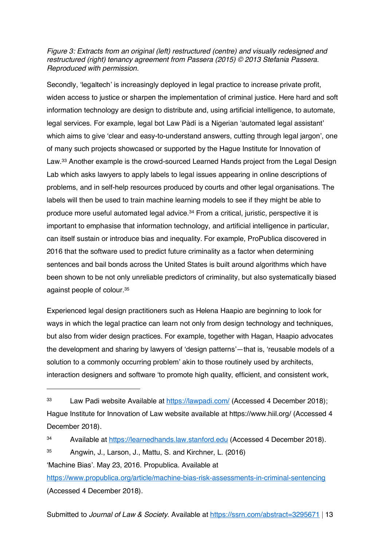Figure 3: Extracts from an original (left) restructured (centre) and visually redesigned and restructured (right) tenancy agreement from Passera (2015) © 2013 Stefania Passera. Reproduced with permission.

Secondly, 'legaltech' is increasingly deployed in legal practice to increase private profit, widen access to justice or sharpen the implementation of criminal justice. Here hard and soft information technology are design to distribute and, using artificial intelligence, to automate, legal services. For example, legal bot Law Pàdí is a Nigerian 'automated legal assistant' which aims to give 'clear and easy-to-understand answers, cutting through legal jargon', one of many such projects showcased or supported by the Hague Institute for Innovation of Law. <sup>33</sup> Another example is the crowd-sourced Learned Hands project from the Legal Design Lab which asks lawyers to apply labels to legal issues appearing in online descriptions of problems, and in self-help resources produced by courts and other legal organisations. The labels will then be used to train machine learning models to see if they might be able to produce more useful automated legal advice.<sup>34</sup> From a critical, juristic, perspective it is important to emphasise that information technology, and artificial intelligence in particular, can itself sustain or introduce bias and inequality. For example, ProPublica discovered in 2016 that the software used to predict future criminality as a factor when determining sentences and bail bonds across the United States is built around algorithms which have been shown to be not only unreliable predictors of criminality, but also systematically biased against people of colour.<sup>35</sup>

Experienced legal design practitioners such as Helena Haapio are beginning to look for ways in which the legal practice can learn not only from design technology and techniques, but also from wider design practices. For example, together with Hagan, Haapio advocates the development and sharing by lawyers of 'design patterns'—that is, 'reusable models of a solution to a commonly occurring problem' akin to those routinely used by architects, interaction designers and software 'to promote high quality, efficient, and consistent work,

<sup>33</sup> Law Padi website Available at https://lawpadi.com/ (Accessed 4 December 2018); Hague Institute for Innovation of Law website available at https://www.hiil.org/ (Accessed 4 December 2018).

<sup>34</sup> Available at https://learnedhands.law.stanford.edu (Accessed 4 December 2018).

<sup>35</sup> Angwin, J., Larson, J., Mattu, S. and Kirchner, L. (2016)

<sup>&#</sup>x27;Machine Bias'. May 23, 2016. Propublica. Available at

https://www.propublica.org/article/machine-bias-risk-assessments-in-criminal-sentencing (Accessed 4 December 2018).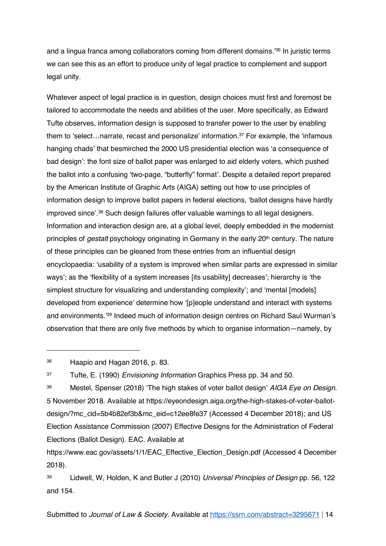and a lingua franca among collaborators coming from different domains.'<sup>36</sup> In juristic terms we can see this as an effort to produce unity of legal practice to complement and support legal unity.

Whatever aspect of legal practice is in question, design choices must first and foremost be tailored to accommodate the needs and abilities of the user. More specifically, as Edward Tufte observes, information design is supposed to transfer power to the user by enabling them to 'select…narrate, recast and personalize' information. <sup>37</sup> For example, the 'infamous hanging chads' that besmirched the 2000 US presidential election was 'a consequence of bad design': the font size of ballot paper was enlarged to aid elderly voters, which pushed the ballot into a confusing 'two-page, "butterfly" format'. Despite a detailed report prepared by the American Institute of Graphic Arts (AIGA) setting out how to use principles of information design to improve ballot papers in federal elections, 'ballot designs have hardly improved since'.<sup>38</sup> Such design failures offer valuable warnings to all legal designers. Information and interaction design are, at a global level, deeply embedded in the modernist principles of *gestalt* psychology originating in Germany in the early  $20<sup>th</sup>$  century. The nature of these principles can be gleaned from these entries from an influential design encyclopaedia: 'usability of a system is improved when similar parts are expressed in similar ways'; as the 'flexibility of a system increases [its usability] decreases'; hierarchy is 'the simplest structure for visualizing and understanding complexity'; and 'mental [models] developed from experience' determine how '[p]eople understand and interact with systems and environments.'<sup>39</sup> Indeed much of information design centres on Richard Saul Wurman's observation that there are only five methods by which to organise information—namely, by

<sup>36</sup> Haapio and Hagan 2016, p. 83.

 $\overline{a}$ 

<sup>37</sup> Tufte, E. (1990) *Envisioning Information* Graphics Press pp. 34 and 50.

<sup>38</sup> Mestel, Spenser (2018) 'The high stakes of voter ballot design' AIGA Eye on Design. 5 November 2018. Available at https://eyeondesign.aiga.org/the-high-stakes-of-voter-ballotdesign/?mc\_cid=5b4b82ef3b&mc\_eid=c12ee8fe37 (Accessed 4 December 2018); and US Election Assistance Commission (2007) Effective Designs for the Administration of Federal Elections (Ballot Design). EAC. Available at

https://www.eac.gov/assets/1/1/EAC\_Effective\_Election\_Design.pdf (Accessed 4 December 2018).

<sup>39</sup> Lidwell, W, Holden, K and Butler J (2010) Universal Principles of Design pp. 56, 122 and 154.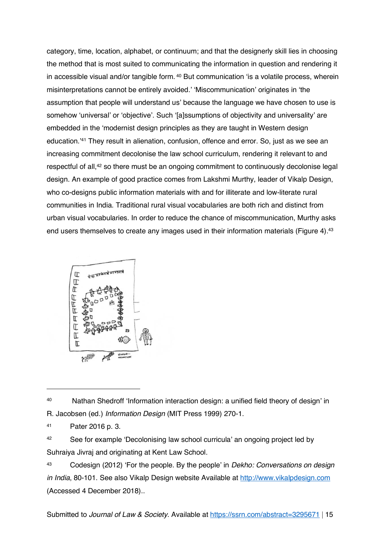category, time, location, alphabet, or continuum; and that the designerly skill lies in choosing the method that is most suited to communicating the information in question and rendering it in accessible visual and/or tangible form. <sup>40</sup> But communication 'is a volatile process, wherein misinterpretations cannot be entirely avoided.' 'Miscommunication' originates in 'the assumption that people will understand us' because the language we have chosen to use is somehow 'universal' or 'objective'. Such '[a]ssumptions of objectivity and universality' are embedded in the 'modernist design principles as they are taught in Western design education.'<sup>41</sup> They result in alienation, confusion, offence and error. So, just as we see an increasing commitment decolonise the law school curriculum, rendering it relevant to and respectful of all,<sup>42</sup> so there must be an ongoing commitment to continuously decolonise legal design. An example of good practice comes from Lakshmi Murthy, leader of Vikalp Design, who co-designs public information materials with and for illiterate and low-literate rural communities in India. Traditional rural visual vocabularies are both rich and distinct from urban visual vocabularies. In order to reduce the chance of miscommunication, Murthy asks end users themselves to create any images used in their information materials (Figure 4). 43



<sup>40</sup> Nathan Shedroff 'Information interaction design: a unified field theory of design' in R. Jacobsen (ed.) Information Design (MIT Press 1999) 270-1.

<sup>41</sup> Pater 2016 p. 3.

 $\overline{a}$ 

42 See for example 'Decolonising law school curricula' an ongoing project led by Suhraiya Jivraj and originating at Kent Law School.

43 Codesign (2012) 'For the people. By the people' in *Dekho: Conversations on design* in India, 80-101. See also Vikalp Design website Available at http://www.vikalpdesign.com (Accessed 4 December 2018)..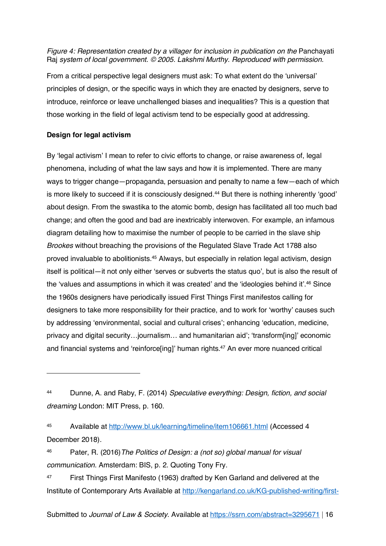Figure 4: Representation created by a villager for inclusion in publication on the Panchayati Raj system of local government. © 2005. Lakshmi Murthy. Reproduced with permission.

From a critical perspective legal designers must ask: To what extent do the 'universal' principles of design, or the specific ways in which they are enacted by designers, serve to introduce, reinforce or leave unchallenged biases and inequalities? This is a question that those working in the field of legal activism tend to be especially good at addressing.

#### **Design for legal activism**

 $\overline{a}$ 

By 'legal activism' I mean to refer to civic efforts to change, or raise awareness of, legal phenomena, including of what the law says and how it is implemented. There are many ways to trigger change—propaganda, persuasion and penalty to name a few—each of which is more likely to succeed if it is consciously designed.<sup>44</sup> But there is nothing inherently 'good' about design. From the swastika to the atomic bomb, design has facilitated all too much bad change; and often the good and bad are inextricably interwoven. For example, an infamous diagram detailing how to maximise the number of people to be carried in the slave ship Brookes without breaching the provisions of the Regulated Slave Trade Act 1788 also proved invaluable to abolitionists.<sup>45</sup> Always, but especially in relation legal activism, design itself is political—it not only either 'serves or subverts the status quo', but is also the result of the 'values and assumptions in which it was created' and the 'ideologies behind it'.<sup>46</sup> Since the 1960s designers have periodically issued First Things First manifestos calling for designers to take more responsibility for their practice, and to work for 'worthy' causes such by addressing 'environmental, social and cultural crises'; enhancing 'education, medicine, privacy and digital security…journalism… and humanitarian aid'; 'transform[ing]' economic and financial systems and 'reinforce[ing]' human rights.<sup>47</sup> An ever more nuanced critical

45 Available at http://www.bl.uk/learning/timeline/item106661.html (Accessed 4 December 2018).

<sup>46</sup> Pater, R. (2016)The Politics of Design: a (not so) global manual for visual communication. Amsterdam: BIS, p. 2. Quoting Tony Fry.

<sup>47</sup> First Things First Manifesto (1963) drafted by Ken Garland and delivered at the Institute of Contemporary Arts Available at http://kengarland.co.uk/KG-published-writing/first-

Submitted to *Journal of Law & Society*. Available at https://ssrn.com/abstract=3295671 | 16

<sup>44</sup> Dunne, A. and Raby, F. (2014) Speculative everything: Design, fiction, and social dreaming London: MIT Press, p. 160.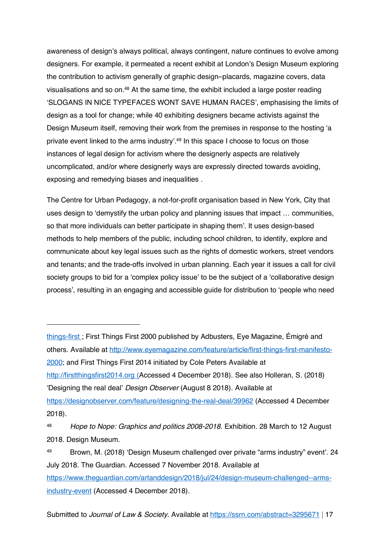awareness of design's always political, always contingent, nature continues to evolve among designers. For example, it permeated a recent exhibit at London's Design Museum exploring the contribution to activism generally of graphic design–placards, magazine covers, data visualisations and so on.<sup>48</sup> At the same time, the exhibit included a large poster reading 'SLOGANS IN NICE TYPEFACES WONT SAVE HUMAN RACES', emphasising the limits of design as a tool for change; while 40 exhibiting designers became activists against the Design Museum itself, removing their work from the premises in response to the hosting 'a private event linked to the arms industry'.<sup>49</sup> In this space I choose to focus on those instances of legal design for activism where the designerly aspects are relatively uncomplicated, and/or where designerly ways are expressly directed towards avoiding, exposing and remedying biases and inequalities .

The Centre for Urban Pedagogy, a not-for-profit organisation based in New York, City that uses design to 'demystify the urban policy and planning issues that impact … communities, so that more individuals can better participate in shaping them'. It uses design-based methods to help members of the public, including school children, to identify, explore and communicate about key legal issues such as the rights of domestic workers, street vendors and tenants; and the trade-offs involved in urban planning. Each year it issues a call for civil society groups to bid for a 'complex policy issue' to be the subject of a 'collaborative design process', resulting in an engaging and accessible guide for distribution to 'people who need

things-first ; First Things First 2000 published by Adbusters, Eye Magazine, Émigré and others. Available at http://www.eyemagazine.com/feature/article/first-things-first-manifesto-2000; and First Things First 2014 initiated by Cole Peters Available at http://firstthingsfirst2014.org (Accessed 4 December 2018). See also Holleran, S. (2018) 'Designing the real deal' Design Observer (August 8 2018). Available at

 $\overline{a}$ 

https://designobserver.com/feature/designing-the-real-deal/39962 (Accessed 4 December 2018).

<sup>48</sup> Hope to Nope: Graphics and politics 2008-2018. Exhibition. 28 March to 12 August 2018. Design Museum.

<sup>49</sup> Brown, M. (2018) 'Design Museum challenged over private "arms industry" event'. 24 July 2018. The Guardian. Accessed 7 November 2018. Available at https://www.theguardian.com/artanddesign/2018/jul/24/design-museum-challenged--armsindustry-event (Accessed 4 December 2018).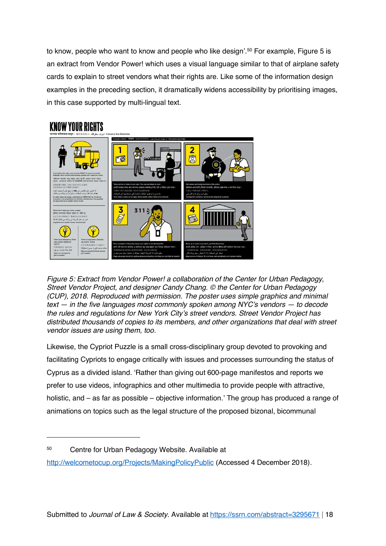to know, people who want to know and people who like design'.<sup>50</sup> For example, Figure 5 is an extract from Vendor Power! which uses a visual language similar to that of airplane safety cards to explain to street vendors what their rights are. Like some of the information design examples in the preceding section, it dramatically widens accessibility by prioritising images, in this case supported by multi-lingual text.



Figure 5: Extract from Vendor Power! a collaboration of the Center for Urban Pedagogy, Street Vendor Project, and designer Candy Chang. © the Center for Urban Pedagogy (CUP), 2018. Reproduced with permission. The poster uses simple graphics and minimal text — in the five languages most commonly spoken among NYC's vendors — to decode the rules and regulations for New York City's street vendors. Street Vendor Project has distributed thousands of copies to its members, and other organizations that deal with street vendor issues are using them, too.

Likewise, the Cypriot Puzzle is a small cross-disciplinary group devoted to provoking and facilitating Cypriots to engage critically with issues and processes surrounding the status of Cyprus as a divided island. 'Rather than giving out 600-page manifestos and reports we prefer to use videos, infographics and other multimedia to provide people with attractive, holistic, and – as far as possible – objective information.' The group has produced a range of animations on topics such as the legal structure of the proposed bizonal, bicommunal

<sup>50</sup> Centre for Urban Pedagogy Website. Available at

http://welcometocup.org/Projects/MakingPolicyPublic (Accessed 4 December 2018).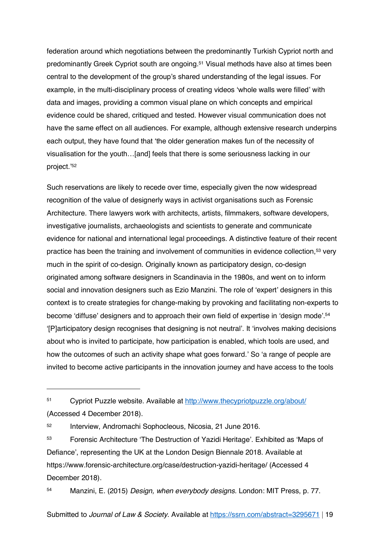federation around which negotiations between the predominantly Turkish Cypriot north and predominantly Greek Cypriot south are ongoing. <sup>51</sup> Visual methods have also at times been central to the development of the group's shared understanding of the legal issues. For example, in the multi-disciplinary process of creating videos 'whole walls were filled' with data and images, providing a common visual plane on which concepts and empirical evidence could be shared, critiqued and tested. However visual communication does not have the same effect on all audiences. For example, although extensive research underpins each output, they have found that 'the older generation makes fun of the necessity of visualisation for the youth…[and] feels that there is some seriousness lacking in our project.'<sup>52</sup>

Such reservations are likely to recede over time, especially given the now widespread recognition of the value of designerly ways in activist organisations such as Forensic Architecture. There lawyers work with architects, artists, filmmakers, software developers, investigative journalists, archaeologists and scientists to generate and communicate evidence for national and international legal proceedings. A distinctive feature of their recent practice has been the training and involvement of communities in evidence collection,<sup>53</sup> very much in the spirit of co-design. Originally known as participatory design, co-design originated among software designers in Scandinavia in the 1980s, and went on to inform social and innovation designers such as Ezio Manzini. The role of 'expert' designers in this context is to create strategies for change-making by provoking and facilitating non-experts to become 'diffuse' designers and to approach their own field of expertise in 'design mode'.<sup>54</sup> '[P]articipatory design recognises that designing is not neutral'. It 'involves making decisions about who is invited to participate, how participation is enabled, which tools are used, and how the outcomes of such an activity shape what goes forward.' So 'a range of people are invited to become active participants in the innovation journey and have access to the tools

<sup>51</sup> Cypriot Puzzle website. Available at http://www.thecypriotpuzzle.org/about/ (Accessed 4 December 2018).

<sup>52</sup> Interview, Andromachi Sophocleous, Nicosia, 21 June 2016.

 $\overline{a}$ 

<sup>53</sup> Forensic Architecture 'The Destruction of Yazidi Heritage'. Exhibited as 'Maps of Defiance', representing the UK at the London Design Biennale 2018. Available at https://www.forensic-architecture.org/case/destruction-yazidi-heritage/ (Accessed 4 December 2018).

54 Manzini, E. (2015) Design, when everybody designs. London: MIT Press, p. 77.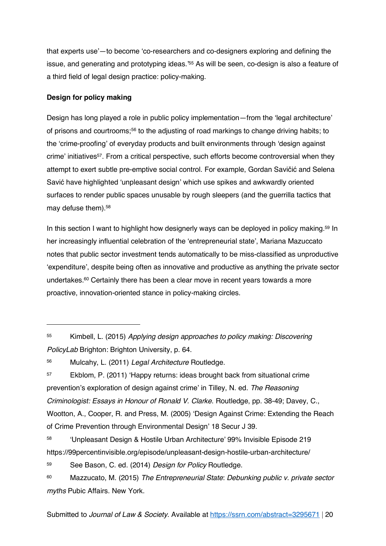that experts use'—to become 'co-researchers and co-designers exploring and defining the issue, and generating and prototyping ideas.'<sup>55</sup> As will be seen, co-design is also a feature of a third field of legal design practice: policy-making.

#### **Design for policy making**

 $\overline{a}$ 

Design has long played a role in public policy implementation—from the 'legal architecture' of prisons and courtrooms; <sup>56</sup> to the adjusting of road markings to change driving habits; to the 'crime-proofing' of everyday products and built environments through 'design against crime' initiatives<sup>57</sup>. From a critical perspective, such efforts become controversial when they attempt to exert subtle pre-emptive social control. For example, Gordan Savičić and Selena Savić have highlighted 'unpleasant design' which use spikes and awkwardly oriented surfaces to render public spaces unusable by rough sleepers (and the guerrilla tactics that may defuse them). 58

In this section I want to highlight how designerly ways can be deployed in policy making.<sup>59</sup> In her increasingly influential celebration of the 'entrepreneurial state', Mariana Mazuccato notes that public sector investment tends automatically to be miss-classified as unproductive 'expenditure', despite being often as innovative and productive as anything the private sector undertakes.<sup>60</sup> Certainly there has been a clear move in recent years towards a more proactive, innovation-oriented stance in policy-making circles.

<sup>55</sup> Kimbell, L. (2015) Applying design approaches to policy making: Discovering PolicyLab Brighton: Brighton University, p. 64.

<sup>56</sup> Mulcahy, L. (2011) Legal Architecture Routledge.

<sup>57</sup> Ekblom, P. (2011) 'Happy returns: ideas brought back from situational crime prevention's exploration of design against crime' in Tilley, N. ed. The Reasoning Criminologist: Essays in Honour of Ronald V. Clarke. Routledge, pp. 38-49; Davey, C., Wootton, A., Cooper, R. and Press, M. (2005) 'Design Against Crime: Extending the Reach of Crime Prevention through Environmental Design' 18 Secur J 39.

<sup>58</sup> 'Unpleasant Design & Hostile Urban Architecture' 99% Invisible Episode 219 https://99percentinvisible.org/episode/unpleasant-design-hostile-urban-architecture/

<sup>59</sup> See Bason, C. ed. (2014) Design for Policy Routledge.

<sup>60</sup> Mazzucato, M. (2015) The Entrepreneurial State: Debunking public v. private sector myths Pubic Affairs. New York.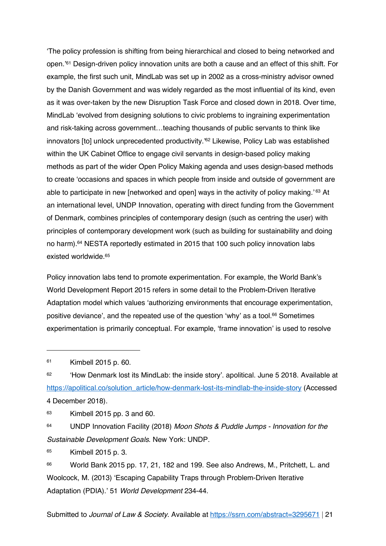'The policy profession is shifting from being hierarchical and closed to being networked and open.'<sup>61</sup> Design-driven policy innovation units are both a cause and an effect of this shift. For example, the first such unit, MindLab was set up in 2002 as a cross-ministry advisor owned by the Danish Government and was widely regarded as the most influential of its kind, even as it was over-taken by the new Disruption Task Force and closed down in 2018. Over time, MindLab 'evolved from designing solutions to civic problems to ingraining experimentation and risk-taking across government…teaching thousands of public servants to think like innovators [to] unlock unprecedented productivity.' <sup>62</sup> Likewise, Policy Lab was established within the UK Cabinet Office to engage civil servants in design-based policy making methods as part of the wider Open Policy Making agenda and uses design-based methods to create 'occasions and spaces in which people from inside and outside of government are able to participate in new [networked and open] ways in the activity of policy making.'<sup>63</sup> At an international level, UNDP Innovation, operating with direct funding from the Government of Denmark, combines principles of contemporary design (such as centring the user) with principles of contemporary development work (such as building for sustainability and doing no harm). <sup>64</sup> NESTA reportedly estimated in 2015 that 100 such policy innovation labs existed worldwide.<sup>65</sup>

Policy innovation labs tend to promote experimentation. For example, the World Bank's World Development Report 2015 refers in some detail to the Problem-Driven Iterative Adaptation model which values 'authorizing environments that encourage experimentation, positive deviance', and the repeated use of the question 'why' as a tool.<sup>66</sup> Sometimes experimentation is primarily conceptual. For example, 'frame innovation' is used to resolve

<sup>61</sup> Kimbell 2015 p. 60.

 $\overline{a}$ 

<sup>62</sup> 'How Denmark lost its MindLab: the inside story'. apolitical. June 5 2018. Available at https://apolitical.co/solution\_article/how-denmark-lost-its-mindlab-the-inside-story (Accessed 4 December 2018).

 $63$  Kimbell 2015 pp. 3 and 60.

<sup>64</sup> UNDP Innovation Facility (2018) Moon Shots & Puddle Jumps - Innovation for the Sustainable Development Goals. New York: UNDP.

<sup>65</sup> Kimbell 2015 p. 3.

<sup>66</sup> World Bank 2015 pp. 17, 21, 182 and 199. See also Andrews, M., Pritchett, L. and Woolcock, M. (2013) 'Escaping Capability Traps through Problem-Driven Iterative Adaptation (PDIA).' 51 World Development 234-44.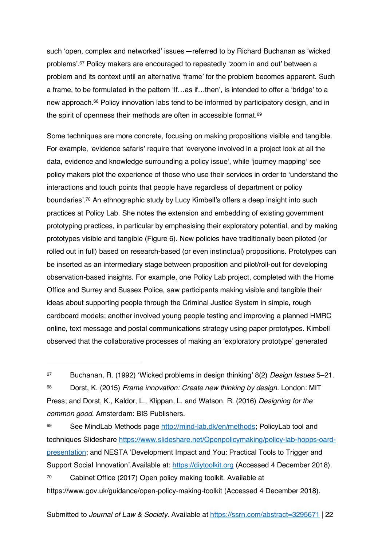such 'open, complex and networked' issues—referred to by Richard Buchanan as 'wicked problems'.<sup>67</sup> Policy makers are encouraged to repeatedly 'zoom in and out' between a problem and its context until an alternative 'frame' for the problem becomes apparent. Such a frame, to be formulated in the pattern 'If…as if…then', is intended to offer a 'bridge' to a new approach.<sup>68</sup> Policy innovation labs tend to be informed by participatory design, and in the spirit of openness their methods are often in accessible format.<sup>69</sup>

Some techniques are more concrete, focusing on making propositions visible and tangible. For example, 'evidence safaris' require that 'everyone involved in a project look at all the data, evidence and knowledge surrounding a policy issue', while 'journey mapping' see policy makers plot the experience of those who use their services in order to 'understand the interactions and touch points that people have regardless of department or policy boundaries'.<sup>70</sup> An ethnographic study by Lucy Kimbell's offers a deep insight into such practices at Policy Lab. She notes the extension and embedding of existing government prototyping practices, in particular by emphasising their exploratory potential, and by making prototypes visible and tangible (Figure 6). New policies have traditionally been piloted (or rolled out in full) based on research-based (or even instinctual) propositions. Prototypes can be inserted as an intermediary stage between proposition and pilot/roll-out for developing observation-based insights. For example, one Policy Lab project, completed with the Home Office and Surrey and Sussex Police, saw participants making visible and tangible their ideas about supporting people through the Criminal Justice System in simple, rough cardboard models; another involved young people testing and improving a planned HMRC online, text message and postal communications strategy using paper prototypes. Kimbell observed that the collaborative processes of making an 'exploratory prototype' generated

 $\overline{a}$ 

<sup>68</sup> Dorst, K. (2015) Frame innovation: Create new thinking by design. London: MIT Press; and Dorst, K., Kaldor, L., Klippan, L. and Watson, R. (2016) Designing for the common good. Amsterdam: BIS Publishers.

69 See MindLab Methods page http://mind-lab.dk/en/methods; PolicyLab tool and techniques Slideshare https://www.slideshare.net/Openpolicymaking/policy-lab-hopps-oardpresentation; and NESTA 'Development Impact and You: Practical Tools to Trigger and Support Social Innovation'.Available at: https://diytoolkit.org (Accessed 4 December 2018). <sup>70</sup> Cabinet Office (2017) Open policy making toolkit. Available at https://www.gov.uk/guidance/open-policy-making-toolkit (Accessed 4 December 2018).

<sup>67</sup> Buchanan, R. (1992) 'Wicked problems in design thinking' 8(2) Design Issues 5–21.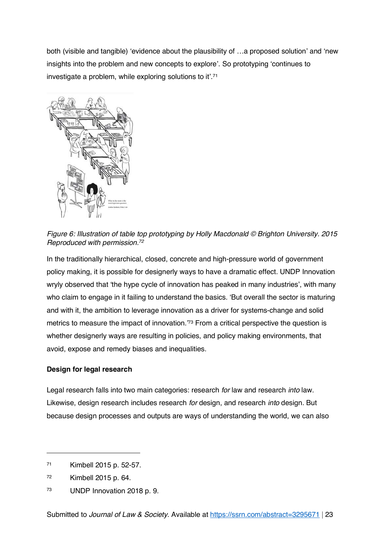both (visible and tangible) 'evidence about the plausibility of …a proposed solution' and 'new insights into the problem and new concepts to explore'. So prototyping 'continues to investigate a problem, while exploring solutions to it'.<sup>71</sup>



Figure 6: Illustration of table top prototyping by Holly Macdonald © Brighton University. 2015 Reproduced with permission.<sup>72</sup>

In the traditionally hierarchical, closed, concrete and high-pressure world of government policy making, it is possible for designerly ways to have a dramatic effect. UNDP Innovation wryly observed that 'the hype cycle of innovation has peaked in many industries', with many who claim to engage in it failing to understand the basics. 'But overall the sector is maturing and with it, the ambition to leverage innovation as a driver for systems-change and solid metrics to measure the impact of innovation.<sup>73</sup> From a critical perspective the question is whether designerly ways are resulting in policies, and policy making environments, that avoid, expose and remedy biases and inequalities.

#### **Design for legal research**

Legal research falls into two main categories: research for law and research into law. Likewise, design research includes research for design, and research into design. But because design processes and outputs are ways of understanding the world, we can also

<sup>71</sup> Kimbell 2015 p. 52-57.

<sup>72</sup> Kimbell 2015 p. 64.

<sup>73</sup> UNDP Innovation 2018 p. 9.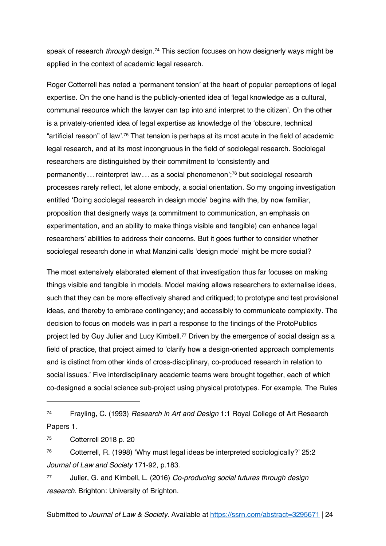speak of research *through* design.<sup>74</sup> This section focuses on how designerly ways might be applied in the context of academic legal research.

Roger Cotterrell has noted a 'permanent tension' at the heart of popular perceptions of legal expertise. On the one hand is the publicly-oriented idea of 'legal knowledge as a cultural, communal resource which the lawyer can tap into and interpret to the citizen'. On the other is a privately-oriented idea of legal expertise as knowledge of the 'obscure, technical "artificial reason" of law'.<sup>75</sup> That tension is perhaps at its most acute in the field of academic legal research, and at its most incongruous in the field of sociolegal research. Sociolegal researchers are distinguished by their commitment to 'consistently and permanently ...reinterpret law...as a social phenomenon';<sup>76</sup> but sociolegal research processes rarely reflect, let alone embody, a social orientation. So my ongoing investigation entitled 'Doing sociolegal research in design mode' begins with the, by now familiar, proposition that designerly ways (a commitment to communication, an emphasis on experimentation, and an ability to make things visible and tangible) can enhance legal researchers' abilities to address their concerns. But it goes further to consider whether sociolegal research done in what Manzini calls 'design mode' might be more social?

The most extensively elaborated element of that investigation thus far focuses on making things visible and tangible in models. Model making allows researchers to externalise ideas, such that they can be more effectively shared and critiqued; to prototype and test provisional ideas, and thereby to embrace contingency; and accessibly to communicate complexity. The decision to focus on models was in part a response to the findings of the ProtoPublics project led by Guy Julier and Lucy Kimbell.<sup>77</sup> Driven by the emergence of social design as a field of practice, that project aimed to 'clarify how a design-oriented approach complements and is distinct from other kinds of cross-disciplinary, co-produced research in relation to social issues.' Five interdisciplinary academic teams were brought together, each of which co-designed a social science sub-project using physical prototypes. For example, The Rules

 $\overline{a}$ 

77 Julier, G. and Kimbell, L. (2016) Co-producing social futures through design research. Brighton: University of Brighton.

<sup>74</sup> Frayling, C. (1993) Research in Art and Design 1:1 Royal College of Art Research Papers 1.

<sup>75</sup> Cotterrell 2018 p. 20

<sup>76</sup> Cotterrell, R. (1998) 'Why must legal ideas be interpreted sociologically?' 25:2 Journal of Law and Society 171-92, p.183.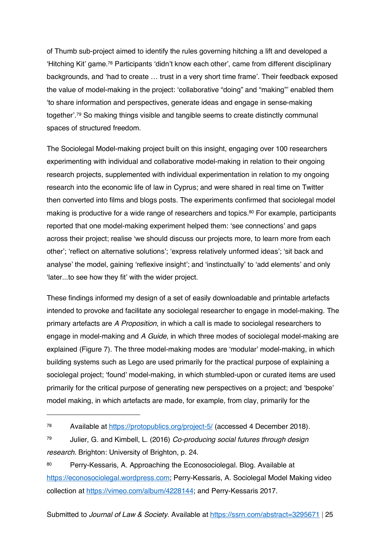of Thumb sub-project aimed to identify the rules governing hitching a lift and developed a 'Hitching Kit' game.<sup>78</sup> Participants 'didn't know each other', came from different disciplinary backgrounds, and 'had to create … trust in a very short time frame'. Their feedback exposed the value of model-making in the project: 'collaborative "doing" and "making"' enabled them 'to share information and perspectives, generate ideas and engage in sense-making together'. <sup>79</sup> So making things visible and tangible seems to create distinctly communal spaces of structured freedom.

The Sociolegal Model-making project built on this insight, engaging over 100 researchers experimenting with individual and collaborative model-making in relation to their ongoing research projects, supplemented with individual experimentation in relation to my ongoing research into the economic life of law in Cyprus; and were shared in real time on Twitter then converted into films and blogs posts. The experiments confirmed that sociolegal model making is productive for a wide range of researchers and topics. <sup>80</sup> For example, participants reported that one model-making experiment helped them: 'see connections' and gaps across their project; realise 'we should discuss our projects more, to learn more from each other'; 'reflect on alternative solutions'; 'express relatively unformed ideas'; 'sit back and analyse' the model, gaining 'reflexive insight'; and 'instinctually' to 'add elements' and only 'later...to see how they fit' with the wider project.

These findings informed my design of a set of easily downloadable and printable artefacts intended to provoke and facilitate any sociolegal researcher to engage in model-making. The primary artefacts are A Proposition, in which a call is made to sociolegal researchers to engage in model-making and A Guide, in which three modes of sociolegal model-making are explained (Figure 7). The three model-making modes are 'modular' model-making, in which building systems such as Lego are used primarily for the practical purpose of explaining a sociolegal project; 'found' model-making, in which stumbled-upon or curated items are used primarily for the critical purpose of generating new perspectives on a project; and 'bespoke' model making, in which artefacts are made, for example, from clay, primarily for the

<sup>78</sup> Available at https://protopublics.org/project-5/ (accessed 4 December 2018).

<sup>79</sup> Julier, G. and Kimbell, L. (2016) Co-producing social futures through design research. Brighton: University of Brighton, p. 24.

<sup>80</sup> Perry-Kessaris, A. Approaching the Econosociolegal. Blog. Available at https://econosociolegal.wordpress.com; Perry-Kessaris, A. Sociolegal Model Making video collection at https://vimeo.com/album/4228144; and Perry-Kessaris 2017.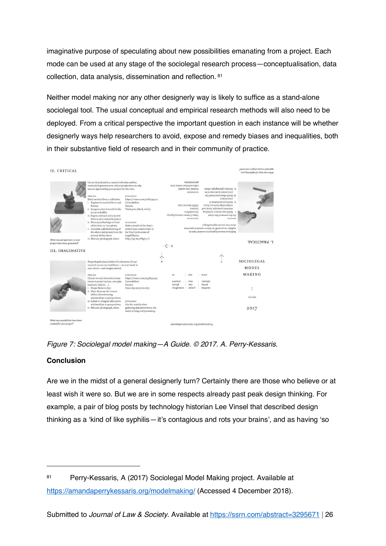imaginative purpose of speculating about new possibilities emanating from a project. Each mode can be used at any stage of the sociolegal research process—conceptualisation, data collection, data analysis, dissemination and reflection. <sup>81</sup>

Neither model making nor any other designerly way is likely to suffice as a stand-alone sociolegal tool. The usual conceptual and empirical research methods will also need to be deployed. From a critical perspective the important question in each instance will be whether designerly ways help researchers to avoid, expose and remedy biases and inequalities, both in their substantive field of research and in their community of practice.

| II. CRITICAL                                                                             |                                                                                                                                                                                                                                                                                                                                                                                                                                                                                                                                              |                                                                                                                                                                                                                         |                                                                                                                                                                                        |                                                                                                                                                                                                                                                                                                                                                                                                                                                | approach to your project now exist?<br>тол Виштраха Го shpm таи 10им |
|------------------------------------------------------------------------------------------|----------------------------------------------------------------------------------------------------------------------------------------------------------------------------------------------------------------------------------------------------------------------------------------------------------------------------------------------------------------------------------------------------------------------------------------------------------------------------------------------------------------------------------------------|-------------------------------------------------------------------------------------------------------------------------------------------------------------------------------------------------------------------------|----------------------------------------------------------------------------------------------------------------------------------------------------------------------------------------|------------------------------------------------------------------------------------------------------------------------------------------------------------------------------------------------------------------------------------------------------------------------------------------------------------------------------------------------------------------------------------------------------------------------------------------------|----------------------------------------------------------------------|
|                                                                                          | Use an item found in a curated collection (online,<br>material) to generate new critical perspectives on why<br>you are approaching your project (in this way).<br>PROCESS<br>Select an item from a collection:<br>i. Explore its material form and<br>history;<br>ii. Imagine what it would be like<br>to use or hold it:<br>iii. Expose abstract and concrete<br>links to your research project;<br>iv. Share your findings in front<br>of the item, or via a photo:<br>v. Annotate a photo/drawing of<br>the object and present it on the | <b>RESOURCES</b><br>https://vimeo.com/208994722<br>Co-modellers<br>Camera<br>Thick pens (black, white)<br><b>EXTENSION</b><br>Make a model of the object:<br>submit your commentary to<br>the Pop-Up Museum of          | suonenuasaid<br>ui 10 auijuo areus pue oapia<br>порош 100 улице.<br>NOISNILXE<br><b>LEGO</b> (borrow, buy)<br>elauren<br>Co-modellers<br>SEoZPq+Z1/mooroomn//:sdnu<br><b>NEZOLNCEZ</b> | Iv. Discuss, photograph, share.<br>lont buolec; (suq loo) to pe:<br>эхц риюм пол атацм рипя ти<br>Aont broker:<br>or noticiar in up to relation<br>: шәнн нәәмдәр sdrusuorgejar<br>elements (concepts, tacts) and<br>gnild your project, including<br>On the reverse of this sheet:<br><b>SSHOOM4</b><br>about hou are approaching it.<br>explain-to yourself, to others-practical questions<br>Build your research project in modular form to |                                                                      |
| What new perspectives on your<br>project have been generated?<br><b>III. IMAGINATIVE</b> | reverse of this sheet:<br>vi. Discuss, photograph, share.                                                                                                                                                                                                                                                                                                                                                                                                                                                                                    | Legal Objects<br>http://wp.me/P8g[17-1]                                                                                                                                                                                 |                                                                                                                                                                                        |                                                                                                                                                                                                                                                                                                                                                                                                                                                | I. PRACTICAL                                                         |
|                                                                                          | Shape bespoke place-holders for elements of your<br>research so you can hold them-in your hand, in<br>your mind-and imagine what if.                                                                                                                                                                                                                                                                                                                                                                                                         |                                                                                                                                                                                                                         |                                                                                                                                                                                        |                                                                                                                                                                                                                                                                                                                                                                                                                                                | SOCIOLEGAL<br><b>MODEL</b>                                           |
|                                                                                          | PROCESS<br>Choose several elements of your<br>research project (actors, concepts,<br>locations, objects):<br>i. Shape them in clay:<br>ii. Place them on the reverse<br>of this sheet showing<br>relationships or perspectives;<br>iii. Adjust to imagine alternative<br>relationships or perspectives;<br>iv. Discuss, photograph, share.                                                                                                                                                                                                   | <b>RESOURCES</b><br>https://vimeo.com/199899293<br>Co-modellers<br>Camera<br>Fimo clay (air/oven dry)<br><b>EXTENSION</b><br>Use the models when<br>gathering data (interviews, site<br>visits) writing and presenting. | : ASK<br>BE<br>practical<br>: how<br>critical<br>why<br>÷<br>imaginative : what if<br>13                                                                                               | MAKE<br>modular<br>found<br>bespoke                                                                                                                                                                                                                                                                                                                                                                                                            | MAKING<br>٠<br>A Guide<br>2017                                       |
| What new possibilities have been<br>created for your project?                            |                                                                                                                                                                                                                                                                                                                                                                                                                                                                                                                                              |                                                                                                                                                                                                                         | amandaperrykessaris.org/modelmaking                                                                                                                                                    |                                                                                                                                                                                                                                                                                                                                                                                                                                                |                                                                      |



#### **Conclusion**

 $\overline{a}$ 

Are we in the midst of a general designerly turn? Certainly there are those who believe or at least wish it were so. But we are in some respects already past peak design thinking. For example, a pair of blog posts by technology historian Lee Vinsel that described design thinking as a 'kind of like syphilis—it's contagious and rots your brains', and as having 'so

<sup>81</sup> Perry-Kessaris, A (2017) Sociolegal Model Making project. Available at https://amandaperrykessaris.org/modelmaking/ (Accessed 4 December 2018).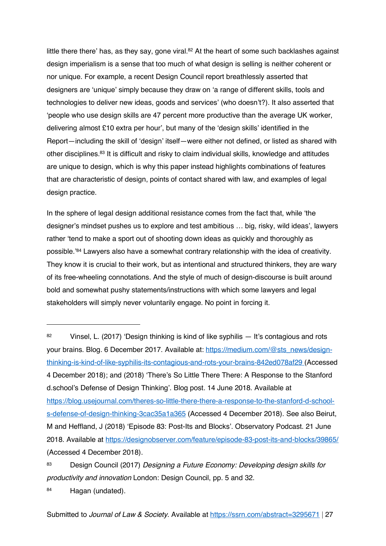little there there' has, as they say, gone viral.<sup>82</sup> At the heart of some such backlashes against design imperialism is a sense that too much of what design is selling is neither coherent or nor unique. For example, a recent Design Council report breathlessly asserted that designers are 'unique' simply because they draw on 'a range of different skills, tools and technologies to deliver new ideas, goods and services' (who doesn't?). It also asserted that 'people who use design skills are 47 percent more productive than the average UK worker, delivering almost £10 extra per hour', but many of the 'design skills' identified in the Report—including the skill of 'design' itself—were either not defined, or listed as shared with other disciplines. <sup>83</sup> It is difficult and risky to claim individual skills, knowledge and attitudes are unique to design, which is why this paper instead highlights combinations of features that are characteristic of design, points of contact shared with law, and examples of legal design practice.

In the sphere of legal design additional resistance comes from the fact that, while 'the designer's mindset pushes us to explore and test ambitious … big, risky, wild ideas', lawyers rather 'tend to make a sport out of shooting down ideas as quickly and thoroughly as possible.'<sup>84</sup> Lawyers also have a somewhat contrary relationship with the idea of creativity. They know it is crucial to their work, but as intentional and structured thinkers, they are wary of its free-wheeling connotations. And the style of much of design-discourse is built around bold and somewhat pushy statements/instructions with which some lawyers and legal stakeholders will simply never voluntarily engage. No point in forcing it.

<sup>82</sup> Vinsel, L. (2017) 'Design thinking is kind of like syphilis — It's contagious and rots your brains. Blog. 6 December 2017. Available at: https://medium.com/@sts\_news/designthinking-is-kind-of-like-syphilis-its-contagious-and-rots-your-brains-842ed078af29 (Accessed 4 December 2018); and (2018) 'There's So Little There There: A Response to the Stanford d.school's Defense of Design Thinking'. Blog post. 14 June 2018. Available at https://blog.usejournal.com/theres-so-little-there-there-a-response-to-the-stanford-d-schools-defense-of-design-thinking-3cac35a1a365 (Accessed 4 December 2018). See also Beirut, M and Heffland, J (2018) 'Episode 83: Post-Its and Blocks'. Observatory Podcast. 21 June 2018. Available at https://designobserver.com/feature/episode-83-post-its-and-blocks/39865/ (Accessed 4 December 2018).

<sup>83</sup> Design Council (2017) Designing a Future Economy: Developing design skills for productivity and innovation London: Design Council, pp. 5 and 32.

<sup>84</sup> Hagan (undated).